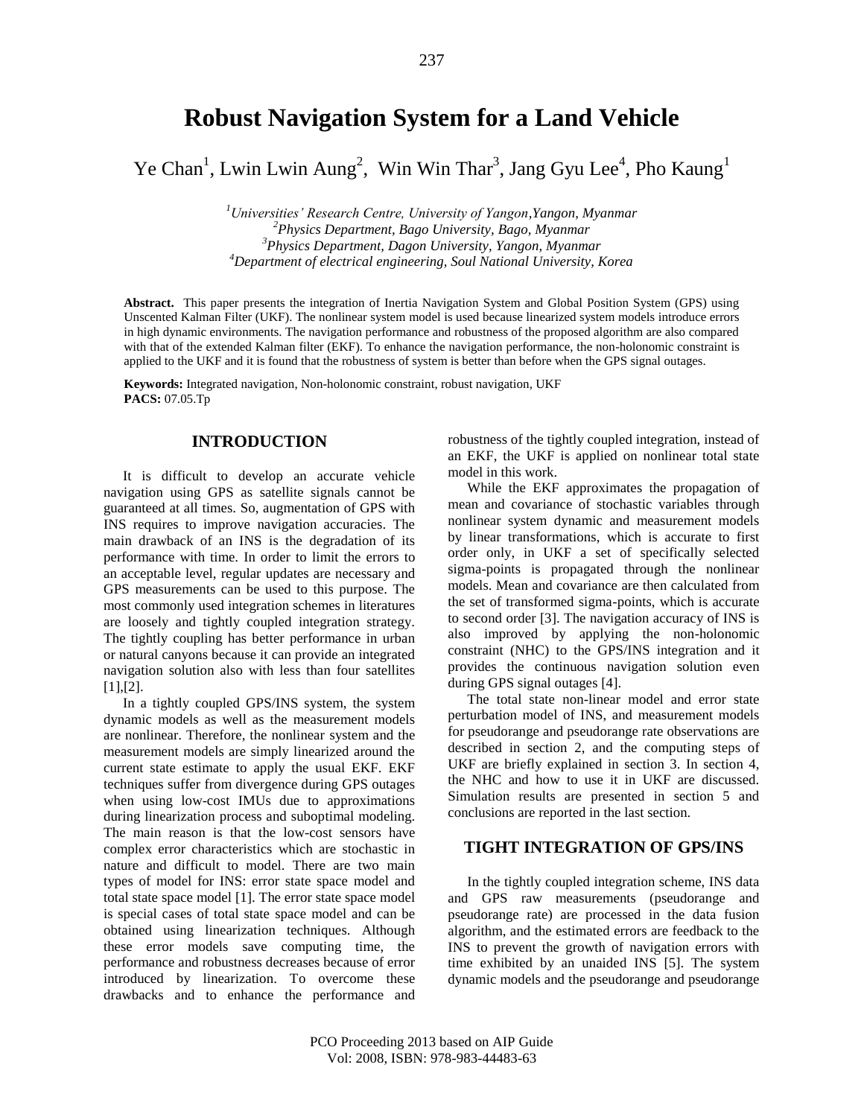# **Robust Navigation System for a Land Vehicle**

Ye Chan<sup>1</sup>, Lwin Lwin Aung<sup>2</sup>, Win Win Thar<sup>3</sup>, Jang Gyu Lee<sup>4</sup>, Pho Kaung<sup>1</sup>

*Universities' Research Centre, University of Yangon,Yangon, Myanmar Physics Department, Bago University, Bago, Myanmar Physics Department, Dagon University, Yangon, Myanmar Department of electrical engineering, Soul National University, Korea*

**Abstract.** This paper presents the integration of Inertia Navigation System and Global Position System (GPS) using Unscented Kalman Filter (UKF). The nonlinear system model is used because linearized system models introduce errors in high dynamic environments. The navigation performance and robustness of the proposed algorithm are also compared with that of the extended Kalman filter (EKF). To enhance the navigation performance, the non-holonomic constraint is applied to the UKF and it is found that the robustness of system is better than before when the GPS signal outages.

**Keywords:** Integrated navigation, Non-holonomic constraint, robust navigation, UKF **PACS:** 07.05.Tp

# **INTRODUCTION**

It is difficult to develop an accurate vehicle navigation using GPS as satellite signals cannot be guaranteed at all times. So, augmentation of GPS with INS requires to improve navigation accuracies. The main drawback of an INS is the degradation of its performance with time. In order to limit the errors to an acceptable level, regular updates are necessary and GPS measurements can be used to this purpose. The most commonly used integration schemes in literatures are loosely and tightly coupled integration strategy. The tightly coupling has better performance in urban or natural canyons because it can provide an integrated navigation solution also with less than four satellites [1],[2].

In a tightly coupled GPS/INS system, the system dynamic models as well as the measurement models are nonlinear. Therefore, the nonlinear system and the measurement models are simply linearized around the current state estimate to apply the usual EKF. EKF techniques suffer from divergence during GPS outages when using low-cost IMUs due to approximations during linearization process and suboptimal modeling. The main reason is that the low-cost sensors have complex error characteristics which are stochastic in nature and difficult to model. There are two main types of model for INS: error state space model and total state space model [1]. The error state space model is special cases of total state space model and can be obtained using linearization techniques. Although these error models save computing time, the performance and robustness decreases because of error introduced by linearization. To overcome these drawbacks and to enhance the performance and robustness of the tightly coupled integration, instead of an EKF, the UKF is applied on nonlinear total state model in this work.

While the EKF approximates the propagation of mean and covariance of stochastic variables through nonlinear system dynamic and measurement models by linear transformations, which is accurate to first order only, in UKF a set of specifically selected sigma-points is propagated through the nonlinear models. Mean and covariance are then calculated from the set of transformed sigma-points, which is accurate to second order [3]. The navigation accuracy of INS is also improved by applying the non-holonomic constraint (NHC) to the GPS/INS integration and it provides the continuous navigation solution even during GPS signal outages [4].

The total state non-linear model and error state perturbation model of INS, and measurement models for pseudorange and pseudorange rate observations are described in section 2, and the computing steps of UKF are briefly explained in section 3. In section 4, the NHC and how to use it in UKF are discussed. Simulation results are presented in section 5 and conclusions are reported in the last section.

## **TIGHT INTEGRATION OF GPS/INS**

In the tightly coupled integration scheme, INS data and GPS raw measurements (pseudorange and pseudorange rate) are processed in the data fusion algorithm, and the estimated errors are feedback to the INS to prevent the growth of navigation errors with time exhibited by an unaided INS [5]. The system dynamic models and the pseudorange and pseudorange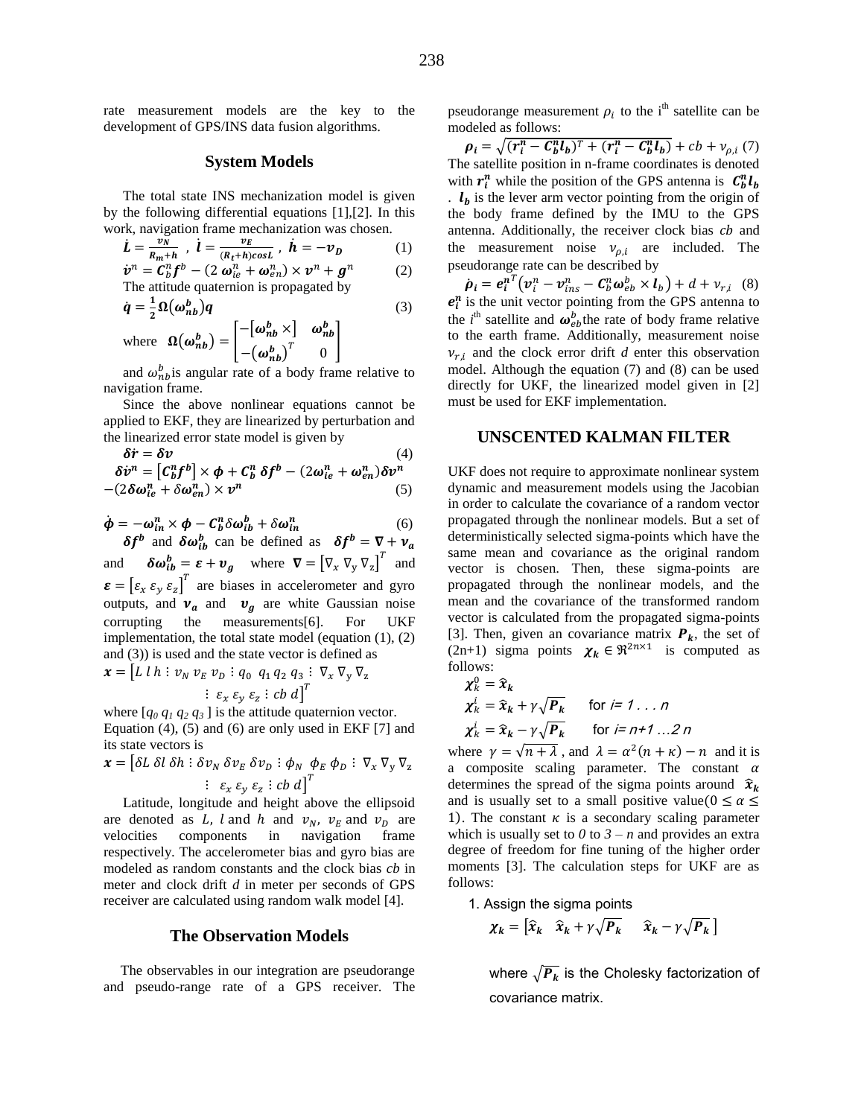rate measurement models are the key to the development of GPS/INS data fusion algorithms.

#### **System Models**

The total state INS mechanization model is given by the following differential equations [1],[2]. In this work, navigation frame mechanization was chosen.

$$
\dot{L} = \frac{v_N}{R_m + h}, \quad \dot{l} = \frac{v_E}{(R_t + h)\cos L}, \quad \dot{h} = -v_D \tag{1}
$$
\n
$$
\dot{v}^n = C_n^n f^b - (2\omega_{ie}^n + \omega_{en}^n) \times v^n + g^n \tag{2}
$$

$$
\dot{\mathbf{v}}^n = \mathbf{C}_b^n \mathbf{f}^b - (2 \mathbf{\omega}_{ie}^n + \mathbf{\omega}_{en}^n) \times \mathbf{v}^n + \mathbf{g}^n
$$
 (2)  
The attitude quaternion is propagated by

$$
\dot{q} = \frac{1}{2} \Omega \left( \omega_{nb}^{b} \right) q \tag{3}
$$

where 
$$
\Omega(\omega_{nb}^b) = \begin{bmatrix} -[\omega_{nb}^b \times] & \omega_{nb}^b \\ -(\omega_{nb}^b)^T & 0 \end{bmatrix}
$$

and  $\omega_{n}^{b}$  is angular rate of a body frame relative to navigation frame.

Since the above nonlinear equations cannot be applied to EKF, they are linearized by perturbation and the linearized error state model is given by

$$
\delta \dot{r} = \delta v \tag{4}
$$
\n
$$
\delta \dot{v}^n = \left[ C_b^n f^b \right] \times \phi + C_b^n \delta f^b - (2\omega_{ie}^n + \omega_{en}^n) \delta v^n
$$
\n
$$
-(2\delta \omega_{ie}^n + \delta \omega_{en}^n) \times v^n \tag{5}
$$

$$
\dot{\boldsymbol{\phi}} = -\boldsymbol{\omega}_{in}^n \times \boldsymbol{\phi} - \mathcal{C}_b^n \delta \boldsymbol{\omega}_{ib}^b + \delta \boldsymbol{\omega}_{in}^n \tag{6}
$$

 $\delta f^b$  and  $\delta \omega_{ih}^b$  can be defined as  $\delta f^b$ and  $\mathbf{v}_{ib}^b = \boldsymbol{\varepsilon} + \boldsymbol{v}_a$  where  $\boldsymbol{\nabla} = \begin{bmatrix} \nabla_x & \nabla_y & \nabla_z \end{bmatrix}^T$  and  $\boldsymbol{\varepsilon} = \left[\varepsilon_x \varepsilon_y \varepsilon_z\right]^T$  are biases in accelerometer and gyro outputs, and  $v_a$  and  $v_g$  are white Gaussian noise corrupting the measurements[6]. For UKF implementation, the total state model (equation (1), (2) and (3)) is used and the state vector is defined as

$$
\boldsymbol{x} = \begin{bmatrix} L \ l \ h \ \vdots \ \nu_N \ \nu_E \ \nu_D \ \vdots \ q_0 \ \ q_1 \ q_2 \ q_3 \ \vdots \ \nabla_x \ \nabla_y \ \nabla_z \\ \vdots \ \varepsilon_x \ \varepsilon_y \ \varepsilon_z \ \vdots \ \varepsilon b \ d \end{bmatrix}^T
$$

where  $[q_0 q_1 q_2 q_3]$  is the attitude quaternion vector. Equation (4), (5) and (6) are only used in EKF [7] and its state vectors is

$$
\mathbf{x} = \begin{bmatrix} \delta L \ \delta l \ \delta h \ \vdots \ \delta v_N \ \delta v_E \ \delta v_D \ \vdots \ \phi_N \ \phi_E \ \phi_D \ \vdots \ \nabla_x \ \nabla_y \ \nabla_z \end{bmatrix}
$$

$$
\vdots \ \varepsilon_x \varepsilon_y \varepsilon_z \ \vdots \ \varepsilon b \ d\end{bmatrix}^T
$$

Latitude, longitude and height above the ellipsoid are denoted as L, l and h and  $v_N$ ,  $v_E$  and  $v_D$  are velocities components in navigation frame respectively. The accelerometer bias and gyro bias are modeled as random constants and the clock bias *cb* in meter and clock drift *d* in meter per seconds of GPS receiver are calculated using random walk model [4].

#### **The Observation Models**

The observables in our integration are pseudorange and pseudo-range rate of a GPS receiver. The

pseudorange measurement  $\rho_i$  to the i<sup>th</sup> satellite can be modeled as follows:

 $\rho_i = \sqrt{(r_i^n - C_h^n l_b)^T + (r_i^n - C_h^n l_b)} + cb + v_{o,i}$  (7) The satellite position in n-frame coordinates is denoted with  $r_i^n$  while the position of the GPS antenna is  $C_b^n l$  $\mathbf{l}_b$  is the lever arm vector pointing from the origin of the body frame defined by the IMU to the GPS antenna. Additionally, the receiver clock bias cb and the measurement noise  $v_{\rho,i}$  are included. The pseudorange rate can be described by

 $\dot{\rho}_i = e_i^{nT} (v_i^n - v_{ins}^n - C_b^n \omega_{eb}^b \times l_b) + d + v_{r,i}$  (8)  $e_i^n$  is the unit vector pointing from the GPS antenna to the *i*<sup>th</sup> satellite and  $\omega_{eh}^b$  the rate of body frame relative to the earth frame. Additionally, measurement noise  $v_{ri}$  and the clock error drift *d* enter this observation model. Although the equation (7) and (8) can be used directly for UKF, the linearized model given in [2] must be used for EKF implementation.

#### **UNSCENTED KALMAN FILTER**

UKF does not require to approximate nonlinear system dynamic and measurement models using the Jacobian in order to calculate the covariance of a random vector propagated through the nonlinear models. But a set of deterministically selected sigma-points which have the same mean and covariance as the original random vector is chosen. Then, these sigma-points are propagated through the nonlinear models, and the mean and the covariance of the transformed random vector is calculated from the propagated sigma-points [3]. Then, given an covariance matrix  $P_k$ , the set of (2n+1) sigma points  $\chi_k \in \Re^{2n \times 1}$  is computed as follows:

$$
\chi_k^0 = \hat{x}_k
$$
  
\n
$$
\chi_k^i = \hat{x}_k + \gamma \sqrt{P_k} \quad \text{for } i = 1 ... n
$$
  
\n
$$
\chi_k^i = \hat{x}_k - \gamma \sqrt{P_k} \quad \text{for } i = n+1 ... 2 n
$$

where  $\gamma = \sqrt{n + \lambda}$ , and  $\lambda = \alpha^2(n + \kappa) - n$  and it is a composite scaling parameter. The constant  $\alpha$ determines the spread of the sigma points around  $\hat{x}_k$ and is usually set to a small positive value ( $0 \le \alpha \le$ 1). The constant  $\kappa$  is a secondary scaling parameter which is usually set to  $\theta$  to  $\theta$  – *n* and provides an extra degree of freedom for fine tuning of the higher order moments [3]. The calculation steps for UKF are as follows:

1. Assign the sigma points

$$
\chi_k = \begin{bmatrix} \widehat{x}_k & \widehat{x}_k + \gamma \sqrt{P_k} & \widehat{x}_k - \gamma \sqrt{P_k} \end{bmatrix}
$$

where  $\sqrt{P_k}$  is the Cholesky factorization of covariance matrix.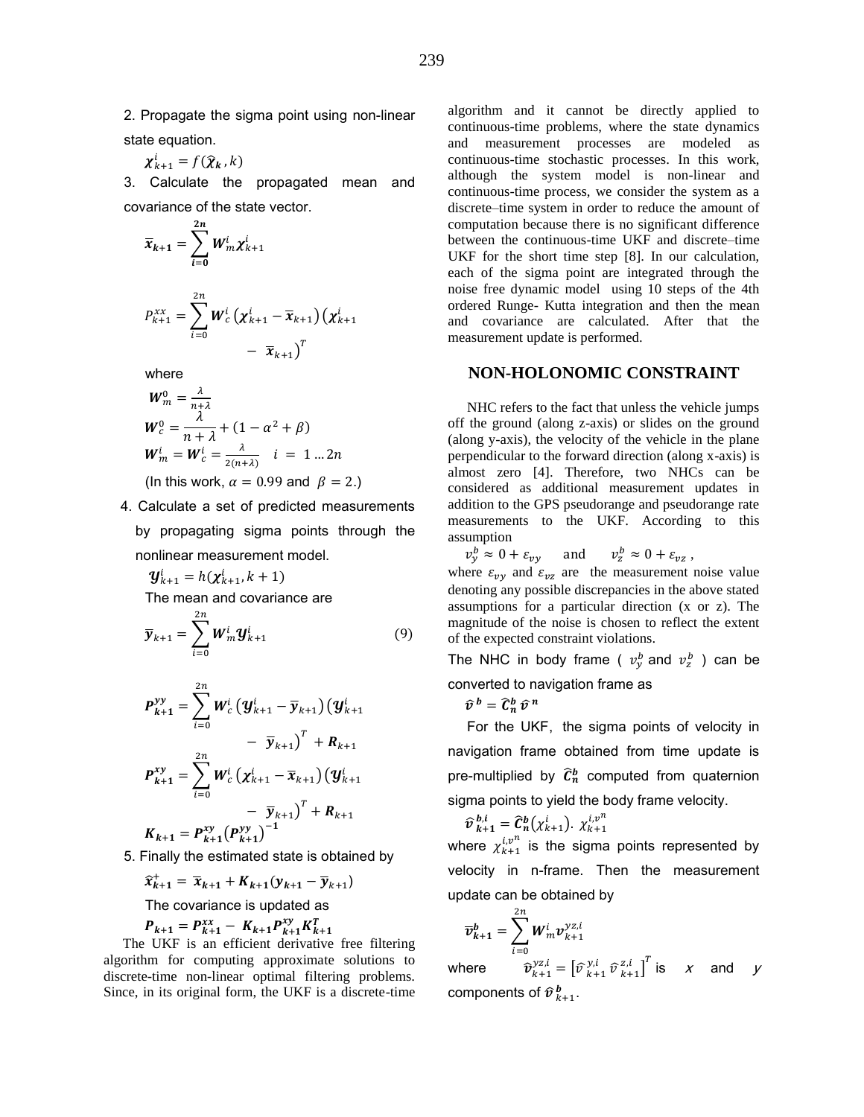2. Propagate the sigma point using non-linear state equation.

$$
\chi_{k+1}^i = f(\widehat{\chi}_k, k)
$$

3. Calculate the propagated mean and covariance of the state vector.

$$
\overline{x}_{k+1} = \sum_{i=0}^{2n} W_m^i \chi_{k+1}^i
$$
  

$$
P_{k+1}^{xx} = \sum_{i=0}^{2n} W_c^i (\chi_{k+1}^i - \overline{x}_{k+1}) (\chi_{k+1}^i - \overline{x}_{k+1})^T
$$

where

$$
W_m^0 = \frac{\lambda}{n+\lambda}
$$
  
\n
$$
W_c^0 = \frac{\lambda}{n+\lambda} + (1 - \alpha^2 + \beta)
$$
  
\n
$$
W_m^i = W_c^i = \frac{\lambda}{2(n+\lambda)} \quad i = 1 ... 2n
$$

(In this work,  $\alpha = 0.99$  and  $\beta = 2$ .)

4. Calculate a set of predicted measurements by propagating sigma points through the nonlinear measurement model.

$$
\mathbf{y}_{k+1}^i = h(\mathbf{x}_{k+1}^i, k+1)
$$
  
The mean and covariance are

$$
\overline{\mathbf{y}}_{k+1} = \sum_{i=0}^{2n} \boldsymbol{W}_m^i \boldsymbol{y}_{k+1}^i
$$
 (9)

$$
P_{k+1}^{yy} = \sum_{i=0}^{2n} W_c^i (y_{k+1}^i - \overline{y}_{k+1}) (y_{k+1}^i - \overline{y}_{k+1})^T + R_{k+1}
$$
  
\n
$$
- \overline{y}_{k+1}^T = \sum_{i=0}^{2n} W_c^i (x_{k+1}^i - \overline{x}_{k+1}) (y_{k+1}^i - \overline{y}_{k+1})^T + R_{k+1}
$$
  
\n
$$
K_{k+1} = P_{k+1}^{xy} (P_{k+1}^{yy})^{-1}
$$

5. Finally the estimated state is obtained by

$$
\widehat{\mathbf{x}}_{k+1}^+ = \overline{\mathbf{x}}_{k+1} + K_{k+1}(\mathbf{y}_{k+1} - \overline{\mathbf{y}}_{k+1})
$$

The covariance is updated as x

$$
P_{k+1} = P_{k+1}^{xx} - K_{k+1} P_{k+1}^{xy} K_{k+1}^T
$$

The UKF is an efficient derivative free filtering algorithm for computing approximate solutions to discrete-time non-linear optimal filtering problems. Since, in its original form, the UKF is a discrete-time

algorithm and it cannot be directly applied to continuous-time problems, where the state dynamics and measurement processes are modeled as continuous-time stochastic processes. In this work, although the system model is non-linear and continuous-time process, we consider the system as a discrete–time system in order to reduce the amount of computation because there is no significant difference between the continuous-time UKF and discrete–time UKF for the short time step [8]. In our calculation, each of the sigma point are integrated through the noise free dynamic model using 10 steps of the 4th ordered Runge- Kutta integration and then the mean and covariance are calculated. After that the measurement update is performed.

## **NON-HOLONOMIC CONSTRAINT**

NHC refers to the fact that unless the vehicle jumps off the ground (along z-axis) or slides on the ground (along y-axis), the velocity of the vehicle in the plane perpendicular to the forward direction (along x-axis) is almost zero [4]. Therefore, two NHCs can be considered as additional measurement updates in addition to the GPS pseudorange and pseudorange rate measurements to the UKF. According to this assumption

$$
v_y^b \approx 0 + \varepsilon_{vy}
$$
 and  $v_z^b \approx 0 + \varepsilon_{vz}$ ,

where  $\varepsilon_{vy}$  and  $\varepsilon_{vz}$  are the measurement noise value denoting any possible discrepancies in the above stated assumptions for a particular direction (x or z). The magnitude of the noise is chosen to reflect the extent of the expected constraint violations.

The NHC in body frame (  $v_v^b$  and  $v_z^b$  ) can be converted to navigation frame as

$$
\widehat{v}^b = \widehat{\mathcal{C}}_n^b \widehat{v}^n
$$

For the UKF, the sigma points of velocity in navigation frame obtained from time update is pre-multiplied by  $\widehat{C}_n^b$  computed from quaternion sigma points to yield the body frame velocity.

$$
\widehat{v}_{k+1}^{b,i} = \widehat{C}_n^b(\chi_{k+1}^i). \ \chi_{k+1}^{i,v^n}
$$

where  $\chi_{k+1}^{i,v^n}$  is the sigma points represented by velocity in n-frame. Then the measurement update can be obtained by

$$
\overline{\boldsymbol{v}}_{k+1}^b = \sum_{i=0}^{2n} \boldsymbol{W}_m^i \boldsymbol{v}_{k+1}^{\mathcal{Y}^{Z,i}}
$$

where  $\mathcal{L}_{k+1}^{yz,i} = \begin{bmatrix} \widehat{\nu}_{k+1}^{y,i} \ \widehat{\nu}_{k+1}^{z,i} \end{bmatrix}^T$  is x and y components of  $\widehat{v}_{k+1}^{\,b}$ .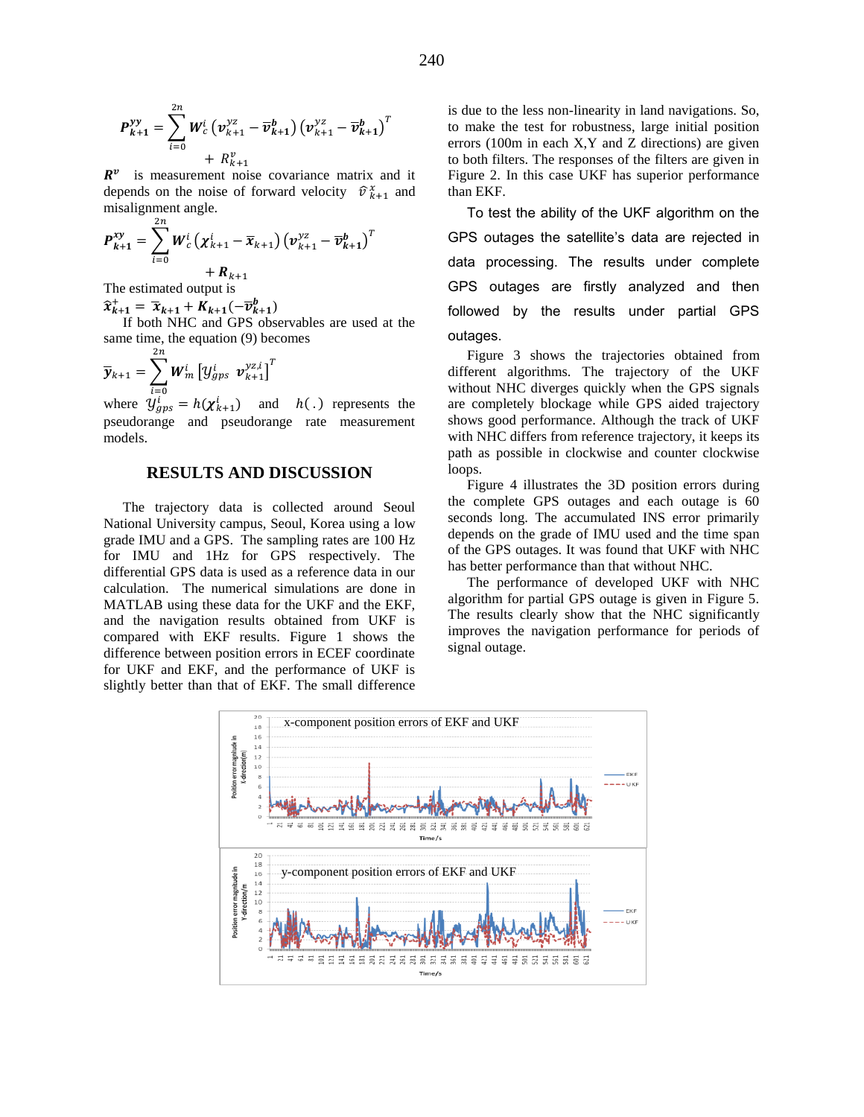$$
P_{k+1}^{yy} = \sum_{i=0}^{2n} W_c^i (v_{k+1}^{yz} - \overline{v}_{k+1}^b) (v_{k+1}^{yz} - \overline{v}_{k+1}^b)^T + R_{k+1}^v
$$

 $R^v$  is measurement noise covariance matrix and it depends on the noise of forward velocity  $\hat{v}_{k+1}^x$  and misalignment angle.  $2n$ 

$$
P_{k+1}^{xy} = \sum_{i=0} W_c^i ( \chi_{k+1}^i - \overline{x}_{k+1}) ( v_{k+1}^{yz} - \overline{v}_{k+1}^b )^T + R_{k+1}
$$

The estimated output is

 $\widehat{x}_{k+1}^+ = \overline{x}_{k+1} + K_{k+1}(-\overline{v}_{k+1}^b)$ 

If both NHC and GPS observables are used at the same time, the equation (9) becomes

$$
\overline{\mathbf{y}}_{k+1} = \sum_{i=0}^{2n} \boldsymbol{W}_{m}^{i} \left[ \mathbf{y}_{gps}^{i} \ \ \boldsymbol{v}_{k+1}^{\mathbf{y}_{Z,i}} \right]^{T}
$$

where  $y_{ans}^i = h(\chi_{k+1}^i)$  and  $h(.)$  represents the pseudorange and pseudorange rate measurement models.

## **RESULTS AND DISCUSSION**

The trajectory data is collected around Seoul National University campus, Seoul, Korea using a low grade IMU and a GPS. The sampling rates are 100 Hz for IMU and 1Hz for GPS respectively. The differential GPS data is used as a reference data in our calculation. The numerical simulations are done in MATLAB using these data for the UKF and the EKF, and the navigation results obtained from UKF is compared with EKF results. Figure 1 shows the difference between position errors in ECEF coordinate for UKF and EKF, and the performance of UKF is slightly better than that of EKF. The small difference

is due to the less non-linearity in land navigations. So, to make the test for robustness, large initial position errors (100m in each X,Y and Z directions) are given to both filters. The responses of the filters are given in Figure 2. In this case UKF has superior performance than EKF.

To test the ability of the UKF algorithm on the GPS outages the satellite's data are rejected in data processing. The results under complete GPS outages are firstly analyzed and then followed by the results under partial GPS outages.

Figure 3 shows the trajectories obtained from different algorithms. The trajectory of the UKF without NHC diverges quickly when the GPS signals are completely blockage while GPS aided trajectory shows good performance. Although the track of UKF with NHC differs from reference trajectory, it keeps its path as possible in clockwise and counter clockwise loops.

Figure 4 illustrates the 3D position errors during the complete GPS outages and each outage is 60 seconds long. The accumulated INS error primarily depends on the grade of IMU used and the time span of the GPS outages. It was found that UKF with NHC has better performance than that without NHC.

The performance of developed UKF with NHC algorithm for partial GPS outage is given in Figure 5. The results clearly show that the NHC significantly improves the navigation performance for periods of signal outage.

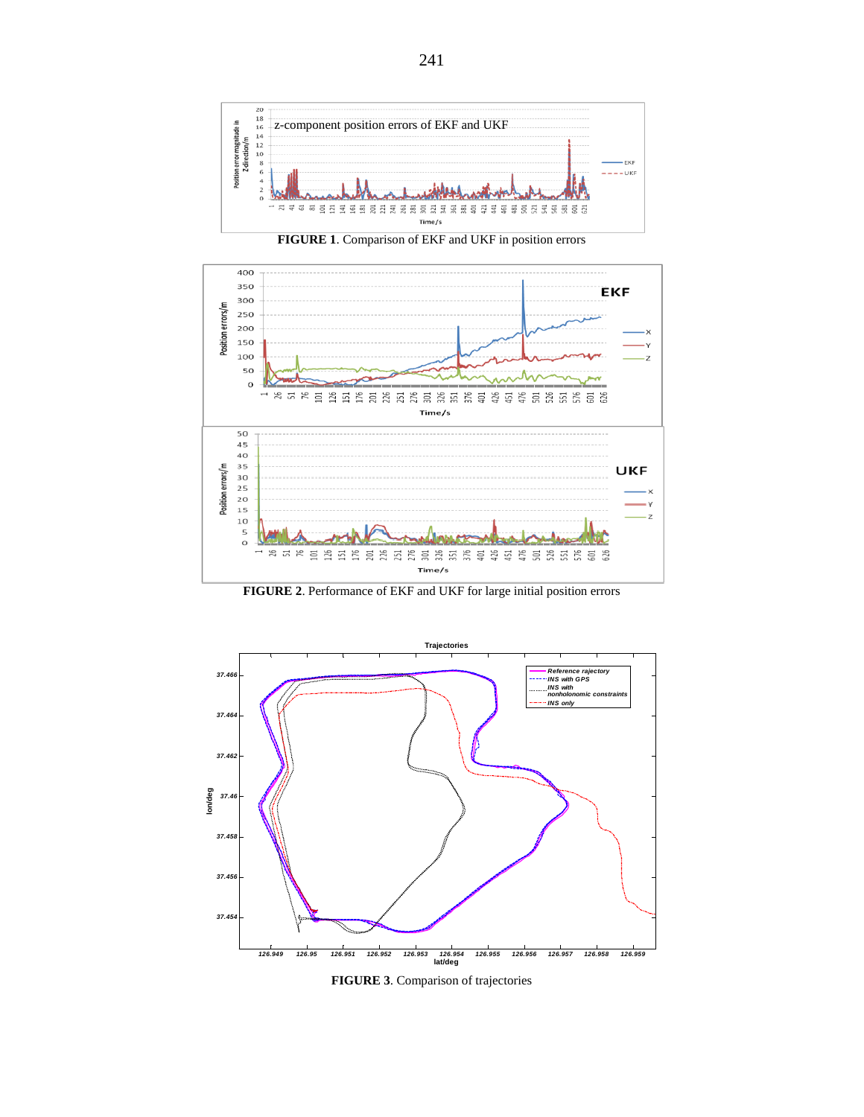

**FIGURE 1**. Comparison of EKF and UKF in position errors



**FIGURE 2**. Performance of EKF and UKF for large initial position errors



**FIGURE 3**. Comparison of trajectories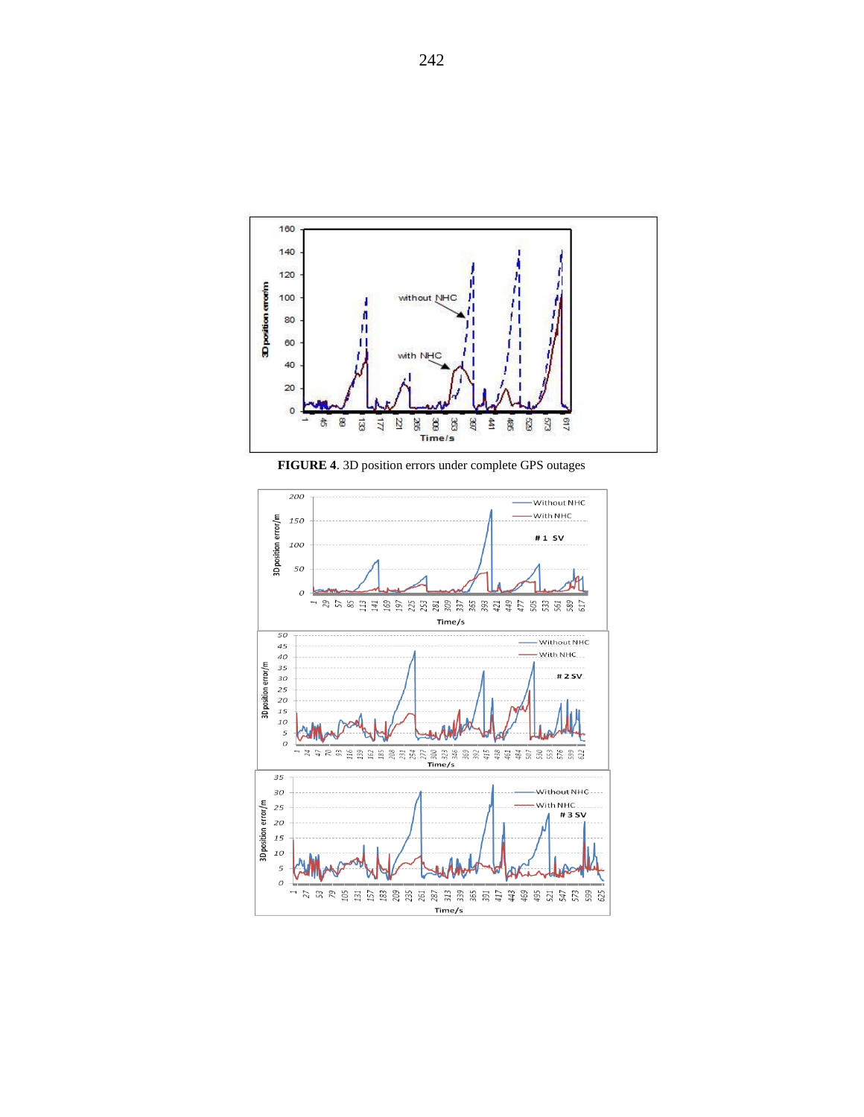

**FIGURE 4**. 3D position errors under complete GPS outages